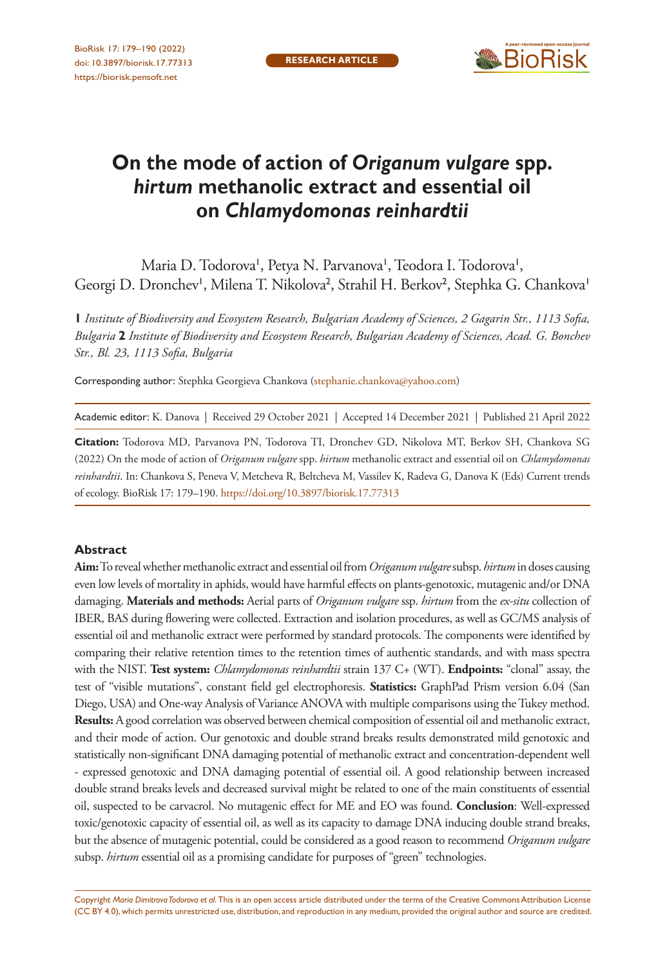

# **On the mode of action of** *Origanum vulgare* **spp.**  *hirtum* **methanolic extract and essential oil on** *Chlamydomonas reinhardtii*

Maria D. Todorova', Petya N. Parvanova', Teodora I. Todorova', Georgi D. Dronchev<sup>i</sup>, Milena T. Nikolova<sup>2</sup>, Strahil H. Berkov<sup>2</sup>, Stephka G. Chankova<sup>i</sup>

**1** *Institute of Biodiversity and Ecosystem Research, Bulgarian Academy of Sciences, 2 Gagarin Str., 1113 Sofia, Bulgaria* **2** *Institute of Biodiversity and Ecosystem Research, Bulgarian Academy of Sciences, Acad. G. Bonchev Str., Bl. 23, 1113 Sofia, Bulgaria*

Corresponding author: Stephka Georgieva Chankova [\(stephanie.chankova@yahoo.com](mailto:stephanie.chankova@yahoo.com))

Academic editor: K. Danova | Received 29 October 2021 | Accepted 14 December 2021 | Published 21 April 2022

**Citation:** Todorova MD, Parvanova PN, Todorova TI, Dronchev GD, Nikolova MT, Berkov SH, Chankova SG (2022) On the mode of action of *Origanum vulgare* spp. *hirtum* methanolic extract and essential oil on *Chlamydomonas reinhardtii*. In: Chankova S, Peneva V, Metcheva R, Beltcheva M, Vassilev K, Radeva G, Danova K (Eds) Current trends of ecology. BioRisk 17: 179–190.<https://doi.org/10.3897/biorisk.17.77313>

#### **Abstract**

**Aim:** To reveal whether methanolic extract and essential oil from *Origanum vulgare* subsp. *hirtum* in doses causing even low levels of mortality in aphids, would have harmful effects on plants-genotoxic, mutagenic and/or DNA damaging. **Materials and methods:** Aerial parts of *Origanum vulgare* ssp. *hirtum* from the *ex-situ* collection of IBER, BAS during flowering were collected. Extraction and isolation procedures, as well as GC/MS analysis of essential oil and methanolic extract were performed by standard protocols. The components were identified by comparing their relative retention times to the retention times of authentic standards, and with mass spectra with the NIST. **Test system:** *Chlamydomonas reinhardtii* strain 137 C+ (WT). **Endpoints:** "clonal" assay, the test of "visible mutations", constant field gel electrophoresis. **Statistics:** GraphPad Prism version 6.04 (San Diego, USA) and One-way Analysis of Variance ANOVA with multiple comparisons using the Tukey method. **Results:** A good correlation was observed between chemical composition of essential oil and methanolic extract, and their mode of action. Our genotoxic and double strand breaks results demonstrated mild genotoxic and statistically non-significant DNA damaging potential of methanolic extract and concentration-dependent well - expressed genotoxic and DNA damaging potential of essential oil. A good relationship between increased double strand breaks levels and decreased survival might be related to one of the main constituents of essential oil, suspected to be carvacrol. No mutagenic effect for ME and EO was found. **Conclusion**: Well-expressed toxic/genotoxic capacity of essential oil, as well as its capacity to damage DNA inducing double strand breaks, but the absence of mutagenic potential, could be considered as a good reason to recommend *Origanum vulgare* subsp. *hirtum* essential oil as a promising candidate for purposes of "green" technologies.

Copyright *Maria Dimitrova Todorova et al.* This is an open access article distributed under the terms of the [Creative Commons Attribution License](http://creativecommons.org/licenses/by/4.0/)  [\(CC BY 4.0\)](http://creativecommons.org/licenses/by/4.0/), which permits unrestricted use, distribution, and reproduction in any medium, provided the original author and source are credited.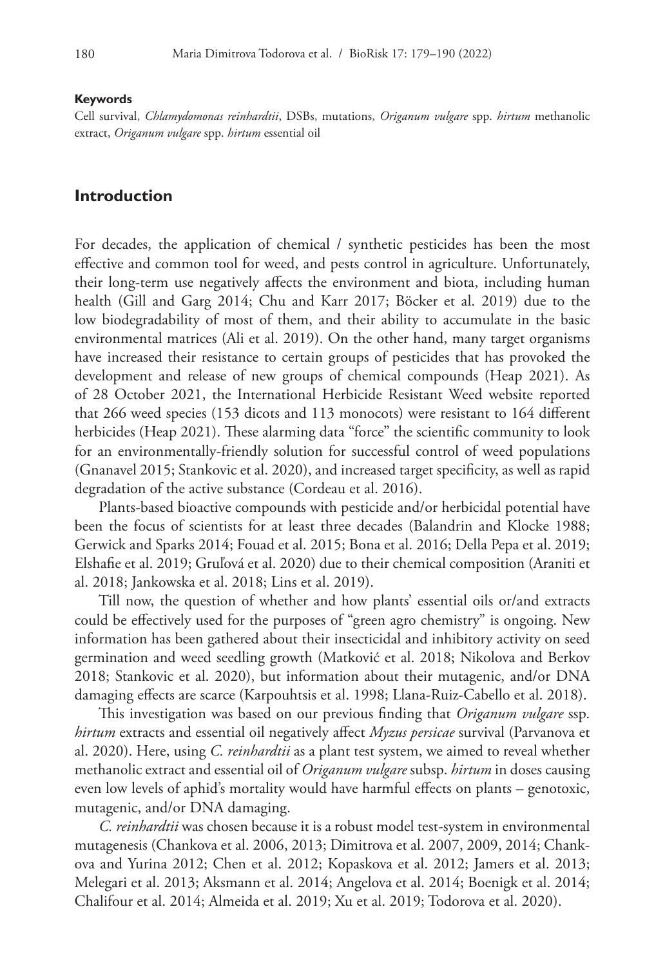#### **Keywords**

Cell survival, *Chlamydomonas reinhardtii*, DSBs, mutations, *Origanum vulgare* spp. *hirtum* methanolic extract, *Origanum vulgare* spp. *hirtum* essential oil

### **Introduction**

For decades, the application of chemical / synthetic pesticides has been the most effective and common tool for weed, and pests control in agriculture. Unfortunately, their long-term use negatively affects the environment and biota, including human health (Gill and Garg 2014; Chu and Karr 2017; Böcker et al. 2019) due to the low biodegradability of most of them, and their ability to accumulate in the basic environmental matrices (Ali et al. 2019). On the other hand, many target organisms have increased their resistance to certain groups of pesticides that has provoked the development and release of new groups of chemical compounds (Heap 2021). As of 28 October 2021, the International Herbicide Resistant Weed website reported that 266 weed species (153 dicots and 113 monocots) were resistant to 164 different herbicides (Heap 2021). These alarming data "force" the scientific community to look for an environmentally-friendly solution for successful control of weed populations (Gnanavel 2015; Stankovic et al. 2020), and increased target specificity, as well as rapid degradation of the active substance (Cordeau et al. 2016).

Plants-based bioactive compounds with pesticide and/or herbicidal potential have been the focus of scientists for at least three decades (Balandrin and Klocke 1988; Gerwick and Sparks 2014; Fouad et al. 2015; Bona et al. 2016; Della Pepa et al. 2019; Elshafie et al. 2019; Gruľová et al. 2020) due to their chemical composition (Araniti et al. 2018; Jankowska et al. 2018; Lins et al. 2019).

Till now, the question of whether and how plants' essential oils or/and extracts could be effectively used for the purposes of "green agro chemistry" is ongoing. New information has been gathered about their insecticidal and inhibitory activity on seed germination and weed seedling growth (Matković et al. 2018; Nikolova and Berkov 2018; Stankovic et al. 2020), but information about their mutagenic, and/or DNA damaging effects are scarce (Karpouhtsis et al. 1998; Llana-Ruiz-Cabello et al. 2018).

This investigation was based on our previous finding that *Origanum vulgare* ssp. *hirtum* extracts and essential oil negatively affect *Myzus persicae* survival (Parvanova et al. 2020). Here, using *C. reinhardtii* as a plant test system, we aimed to reveal whether methanolic extract and essential oil of *Origanum vulgare* subsp. *hirtum* in doses causing even low levels of aphid's mortality would have harmful effects on plants – genotoxic, mutagenic, and/or DNA damaging.

*C. reinhardtii* was chosen because it is a robust model test-system in environmental mutagenesis (Chankova et al. 2006, 2013; Dimitrova et al. 2007, 2009, 2014; Chankova and Yurina 2012; Chen et al. 2012; Kopaskova et al. 2012; Jamers et al. 2013; Melegari et al. 2013; Aksmann et al. 2014; Angelova et al. 2014; Boenigk et al. 2014; Chalifour et al. 2014; Almeida et al. 2019; Xu et al. 2019; Todorova et al. 2020).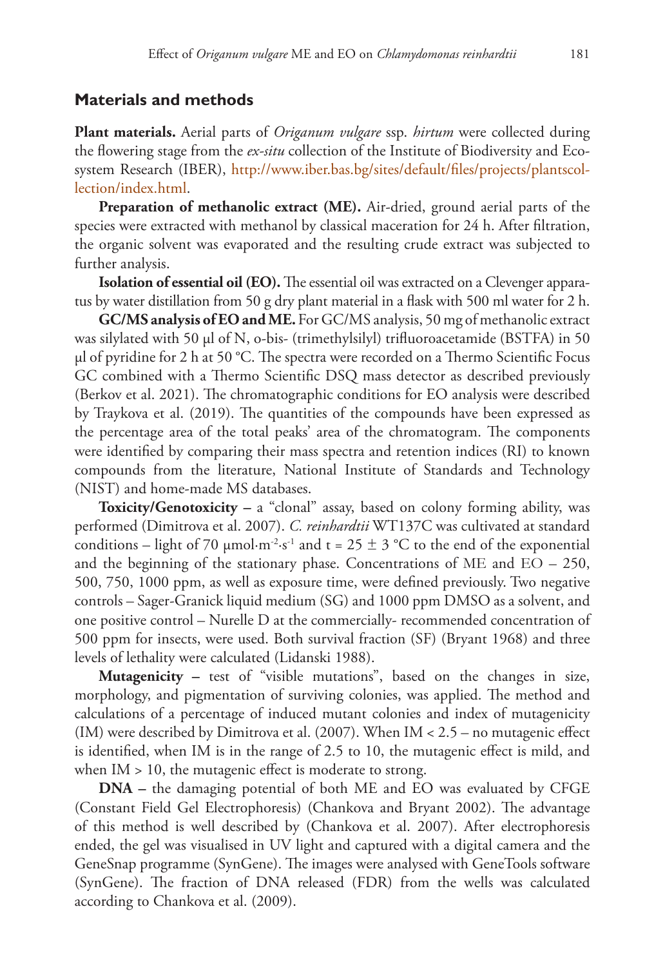# **Materials and methods**

**Plant materials.** Aerial parts of *Origanum vulgare* ssp. *hirtum* were collected during the flowering stage from the *ex-situ* collection of the Institute of Biodiversity and Ecosystem Research (IBER), [http://www.iber.bas.bg/sites/default/files/projects/plantscol](http://www.iber.bas.bg/sites/default/files/projects/plantscollection/index.html)[lection/index.html](http://www.iber.bas.bg/sites/default/files/projects/plantscollection/index.html).

**Preparation of methanolic extract (ME).** Air-dried, ground aerial parts of the species were extracted with methanol by classical maceration for 24 h. After filtration, the organic solvent was evaporated and the resulting crude extract was subjected to further analysis.

**Isolation of essential oil (EO).** The essential oil was extracted on a Clevenger apparatus by water distillation from 50 g dry plant material in a flask with 500 ml water for 2 h.

**GC/MS analysis of EO and ME.** For GC/MS analysis, 50 mg of methanolic extract was silylated with 50 µl of N, o-bis- (trimethylsilyl) trifluoroacetamide (BSTFA) in 50 µl of pyridine for 2 h at 50 °C. The spectra were recorded on a Thermo Scientific Focus GC combined with a Thermo Scientific DSQ mass detector as described previously (Berkov et al. 2021). The chromatographic conditions for EO analysis were described by Traykova et al. (2019). The quantities of the compounds have been expressed as the percentage area of the total peaks' area of the chromatogram. The components were identified by comparing their mass spectra and retention indices (RI) to known compounds from the literature, National Institute of Standards and Technology (NIST) and home-made MS databases.

**Toxicity/Genotoxicity** *–* a "clonal" assay, based on colony forming ability, was performed (Dimitrova et al. 2007). *C. reinhardtii* WT137C was cultivated at standard conditions – light of 70 µmol·m<sup>-2</sup>·s<sup>-1</sup> and t = 25  $\pm$  3 °C to the end of the exponential and the beginning of the stationary phase. Concentrations of МЕ and ЕО – 250, 500, 750, 1000 ppm, as well as exposure time, were defined previously. Two negative controls – Sager-Granick liquid medium (SG) and 1000 ppm DMSO as a solvent, and one positive control – Nurelle D at the commercially- recommended concentration of 500 ppm for insects, were used. Both survival fraction (SF) (Bryant 1968) and three levels of lethality were calculated (Lidanski 1988).

**Mutagenicity –** test of "visible mutations", based on the changes in size, morphology, and pigmentation of surviving colonies, was applied. The method and calculations of a percentage of induced mutant colonies and index of mutagenicity (IM) were described by Dimitrova et al. (2007). When IM < 2.5 – no mutagenic effect is identified, when IM is in the range of 2.5 to 10, the mutagenic effect is mild, and when  $IM > 10$ , the mutagenic effect is moderate to strong.

**DNA –** the damaging potential of both ME and EO was evaluated by CFGE (Constant Field Gel Electrophoresis) (Chankova and Bryant 2002). The advantage of this method is well described by (Chankova et al. 2007). After electrophoresis ended, the gel was visualised in UV light and captured with a digital camera and the GeneSnap programme (SynGene). The images were analysed with GeneTools software (SynGene). The fraction of DNA released (FDR) from the wells was calculated according to Chankova et al. (2009).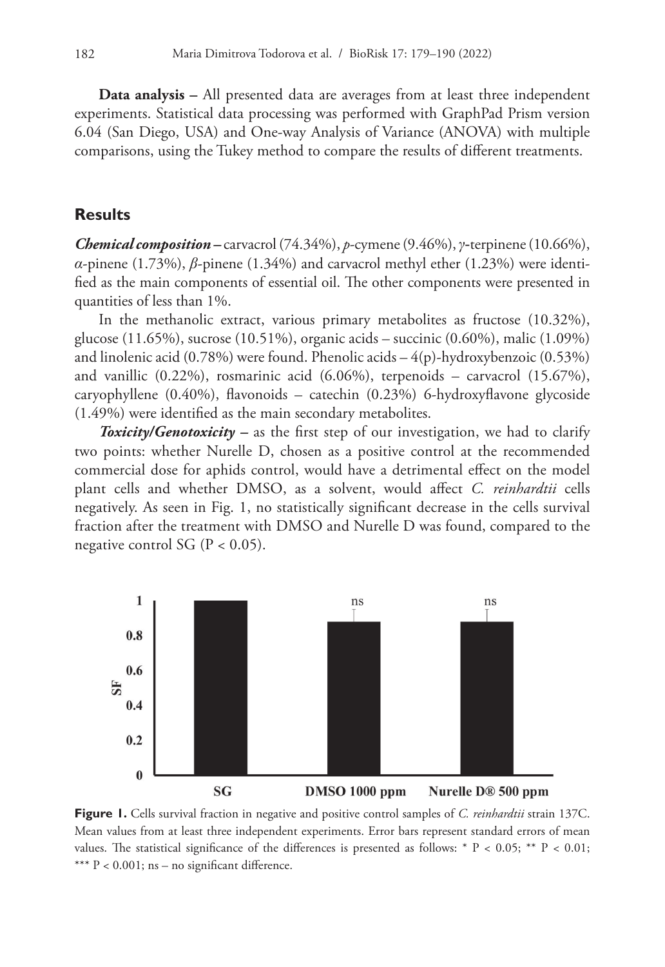**Data analysis –** All presented data are averages from at least three independent experiments. Statistical data processing was performed with GraphPad Prism version 6.04 (San Diego, USA) and One-way Analysis of Variance (ANOVA) with multiple comparisons, using the Tukey method to compare the results of different treatments.

# **Results**

*Chemical composition* – carvacrol (74.34%), *p*-cymene (9.46%), *γ*-terpinene (10.66%), *α*-pinene (1.73%), *β*-pinene (1.34%) and carvacrol methyl ether (1.23%) were identified as the main components of essential oil. The other components were presented in quantities of less than 1%.

In the methanolic extract, various primary metabolites as fructose (10.32%), glucose (11.65%), sucrose (10.51%), organic acids – succinic (0.60%), malic (1.09%) and linolenic acid (0.78%) were found. Phenolic acids – 4(p)-hydroxybenzoic (0.53%) and vanillic (0.22%), rosmarinic acid (6.06%), terpenoids – carvacrol (15.67%), caryophyllene (0.40%), flavonoids – catechin (0.23%) 6-hydroxyflavone glycoside (1.49%) were identified as the main secondary metabolites.

*Toxicity/Genotoxicity –* as the first step of our investigation, we had to clarify two points: whether Nurelle D, chosen as a positive control at the recommended commercial dose for aphids control, would have a detrimental effect on the model plant cells and whether DMSO, as a solvent, would affect *C. reinhardtii* cells negatively. As seen in Fig. 1, no statistically significant decrease in the cells survival fraction after the treatment with DMSO and Nurelle D was found, compared to the negative control SG ( $P < 0.05$ ).



**Figure 1.** Cells survival fraction in negative and positive control samples of *C. reinhardtii* strain 137C. Mean values from at least three independent experiments. Error bars represent standard errors of mean values. The statistical significance of the differences is presented as follows: \* P < 0.05; \*\* P < 0.01; \*\*\*  $P < 0.001$ ; ns - no significant difference.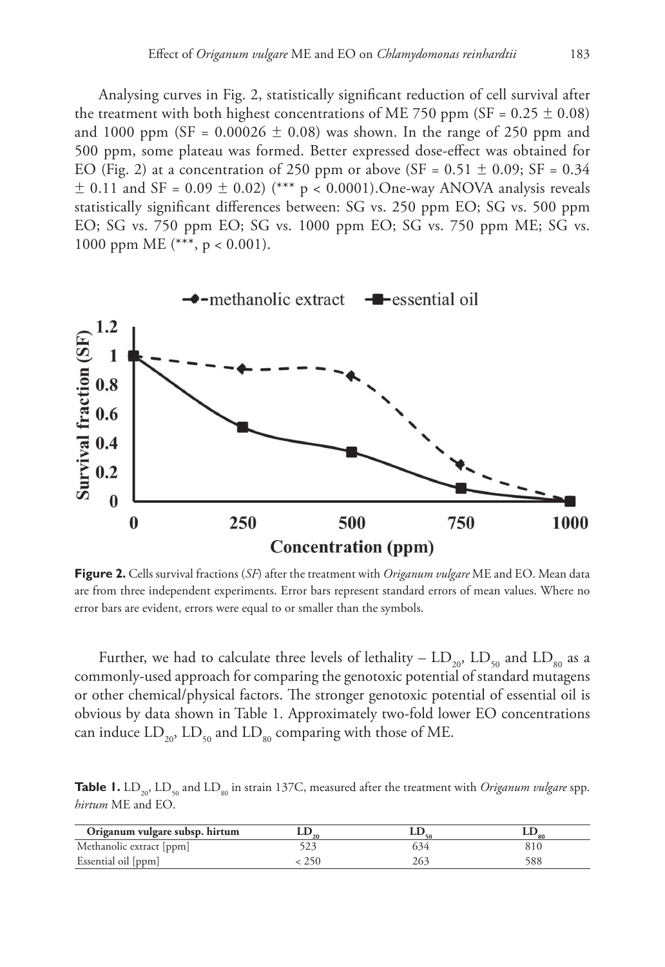Analysing curves in Fig. 2, statistically significant reduction of cell survival after the treatment with both highest concentrations of ME 750 ppm (SF =  $0.25 \pm 0.08$ ) and 1000 ppm (SF =  $0.00026 \pm 0.08$ ) was shown. In the range of 250 ppm and 500 ppm, some plateau was formed. Better expressed dose-effect was obtained for EO (Fig. 2) at a concentration of 250 ppm or above (SF =  $0.51 \pm 0.09$ ; SF =  $0.34$  $\pm$  0.11 and SF = 0.09  $\pm$  0.02) (\*\*\* p < 0.0001). One-way ANOVA analysis reveals statistically significant differences between: SG vs. 250 ppm EO; SG vs. 500 ppm EO; SG vs. 750 ppm EO; SG vs. 1000 ppm EO; SG vs. 750 ppm ME; SG vs. 1000 ppm ME (\*\*\*, p < 0.001).



**Figure 2.** Cells survival fractions (*SF*) after the treatment with *Origanum vulgare* ME and EO. Mean data are from three independent experiments. Error bars represent standard errors of mean values. Where no error bars are evident, errors were equal to or smaller than the symbols.

Further, we had to calculate three levels of lethality –  $LD_{20}$ ,  $LD_{50}$  and  $LD_{80}$  as a commonly-used approach for comparing the genotoxic potential of standard mutagens or other chemical/physical factors. The stronger genotoxic potential of essential oil is obvious by data shown in Table 1. Approximately two-fold lower EO concentrations can induce  $LD_{20}$ ,  $LD_{50}$  and  $LD_{80}$  comparing with those of ME.

**Table 1.** LD<sub>30</sub>, LD<sub>50</sub> and LD<sub>80</sub> in strain 137C, measured after the treatment with *Origanum vulgare* spp. *hirtum* ME and EO.

| Origanum vulgare subsp. hirtum |     |     |
|--------------------------------|-----|-----|
| Methanolic extract [ppm]       | 54ء | 310 |
| Essential oil [ppm]            | 263 | 588 |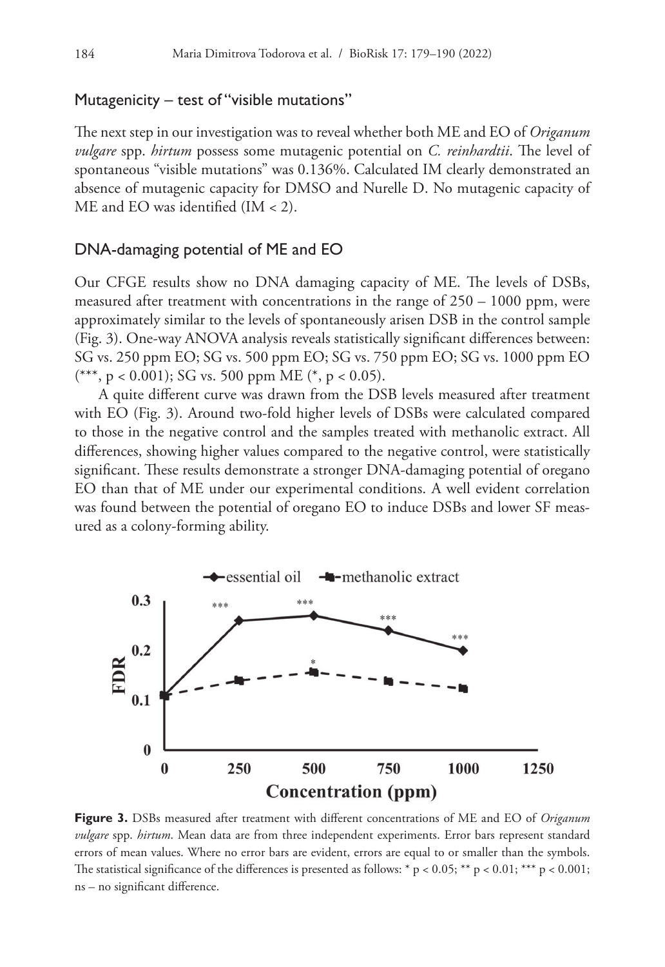## Mutagenicity – test of "visible mutations"

The next step in our investigation was to reveal whether both ME and EO of *Origanum vulgare* spp. *hirtum* possess some mutagenic potential on *C. reinhardtii*. The level of spontaneous "visible mutations" was 0.136%. Calculated IM clearly demonstrated an absence of mutagenic capacity for DMSO and Nurelle D. No mutagenic capacity of ME and EO was identified (IM < 2).

#### DNA-damaging potential of ME and EO

Our CFGE results show no DNA damaging capacity of ME. The levels of DSBs, measured after treatment with concentrations in the range of 250 – 1000 ppm, were approximately similar to the levels of spontaneously arisen DSB in the control sample (Fig. 3). One-way ANOVA analysis reveals statistically significant differences between: SG vs. 250 ppm EO; SG vs. 500 ppm EO; SG vs. 750 ppm EO; SG vs. 1000 ppm EO (\*\*\*, p < 0.001); SG vs. 500 ppm ME (\*, p < 0.05).

A quite different curve was drawn from the DSB levels measured after treatment with EO (Fig. 3). Around two-fold higher levels of DSBs were calculated compared to those in the negative control and the samples treated with methanolic extract. All differences, showing higher values compared to the negative control, were statistically significant. These results demonstrate a stronger DNA-damaging potential of oregano EO than that of ME under our experimental conditions. A well evident correlation was found between the potential of oregano EO to induce DSBs and lower SF measured as a colony-forming ability.



**Figure 3.** DSBs measured after treatment with different concentrations of ME and EO of *Origanum vulgare* spp. *hirtum*. Mean data are from three independent experiments. Error bars represent standard errors of mean values. Where no error bars are evident, errors are equal to or smaller than the symbols. The statistical significance of the differences is presented as follows: \* p < 0.05; \*\* p < 0.01; \*\*\* p < 0.001; ns – no significant difference.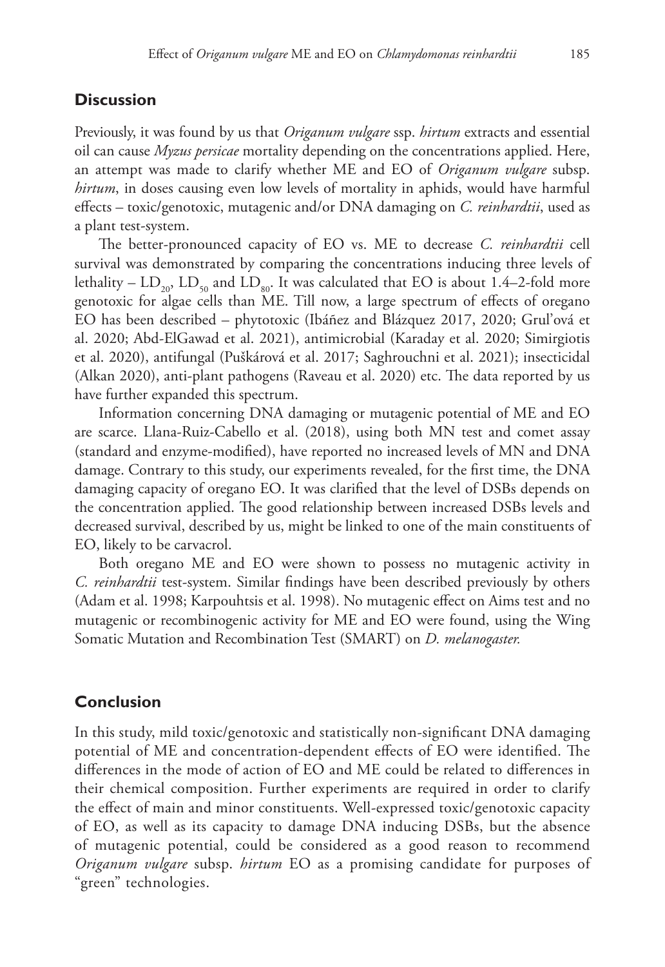# **Discussion**

Previously, it was found by us that *Origanum vulgare* ssp. *hirtum* extracts and essential oil can cause *Myzus persicae* mortality depending on the concentrations applied. Here, an attempt was made to clarify whether ME and EO of *Origanum vulgare* subsp. *hirtum*, in doses causing even low levels of mortality in aphids, would have harmful effects – toxic/genotoxic, mutagenic and/or DNA damaging on *C. reinhardtii*, used as a plant test-system.

The better-pronounced capacity of EO vs. ME to decrease *C. reinhardtii* cell survival was demonstrated by comparing the concentrations inducing three levels of lethality –  $LD_{20}$ ,  $LD_{50}$  and  $LD_{80}$ . It was calculated that EO is about 1.4–2-fold more genotoxic for algae cells than ME. Till now, a large spectrum of effects of oregano EO has been described – phytotoxic (Ibáñez and Blázquez 2017, 2020; Grul'ová et al. 2020; Abd-ElGawad et al. 2021), antimicrobial (Karaday et al. 2020; Simirgiotis et al. 2020), antifungal (Puškárová et al. 2017; Saghrouchni et al. 2021); insecticidal (Alkan 2020), anti-plant pathogens (Raveau et al. 2020) etc. The data reported by us have further expanded this spectrum.

Information concerning DNA damaging or mutagenic potential of ME and EO are scarce. Llana-Ruiz-Cabello et al. (2018), using both MN test and comet assay (standard and enzyme-modified), have reported no increased levels of MN and DNA damage. Contrary to this study, our experiments revealed, for the first time, the DNA damaging capacity of oregano EO. It was clarified that the level of DSBs depends on the concentration applied. The good relationship between increased DSBs levels and decreased survival, described by us, might be linked to one of the main constituents of EO, likely to be carvacrol.

Both oregano ME and EO were shown to possess no mutagenic activity in *C. reinhardtii* test-system. Similar findings have been described previously by others (Adam et al. 1998; Karpouhtsis et al. 1998). No mutagenic effect on Aims test and no mutagenic or recombinogenic activity for ME and EO were found, using the Wing Somatic Mutation and Recombination Test (SMART) on *D. melanogaster.*

# **Conclusion**

In this study, mild toxic/genotoxic and statistically non-significant DNA damaging potential of ME and concentration-dependent effects of EO were identified. The differences in the mode of action of EO and ME could be related to differences in their chemical composition. Further experiments are required in order to clarify the effect of main and minor constituents. Well-expressed toxic/genotoxic capacity of EO, as well as its capacity to damage DNA inducing DSBs, but the absence of mutagenic potential, could be considered as a good reason to recommend *Origanum vulgare* subsp. *hirtum* EO as a promising candidate for purposes of "green" technologies.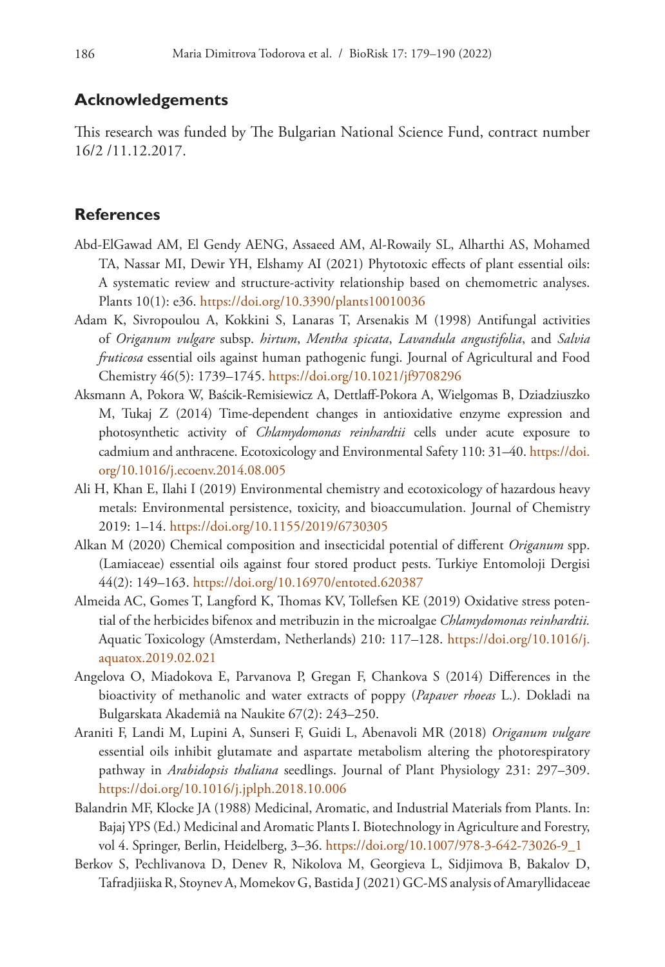### **Acknowledgements**

This research was funded by The Bulgarian National Science Fund, contract number 16/2 /11.12.2017.

#### **References**

- Abd-ElGawad AM, El Gendy AENG, Assaeed AM, Al-Rowaily SL, Alharthi AS, Mohamed TA, Nassar MI, Dewir YH, Elshamy AI (2021) Phytotoxic effects of plant essential oils: A systematic review and structure-activity relationship based on chemometric analyses. Plants 10(1): e36. <https://doi.org/10.3390/plants10010036>
- Adam K, Sivropoulou A, Kokkini S, Lanaras T, Arsenakis M (1998) Antifungal activities of *Origanum vulgare* subsp. *hirtum*, *Mentha spicata*, *Lavandula angustifolia*, and *Salvia fruticosa* essential oils against human pathogenic fungi. Journal of Agricultural and Food Chemistry 46(5): 1739–1745.<https://doi.org/10.1021/jf9708296>
- Aksmann A, Pokora W, Baścik-Remisiewicz A, Dettlaff-Pokora A, Wielgomas B, Dziadziuszko M, Tukaj Z (2014) Time-dependent changes in antioxidative enzyme expression and photosynthetic activity of *Chlamydomonas reinhardtii* cells under acute exposure to cadmium and anthracene. Ecotoxicology and Environmental Safety 110: 31–40. [https://doi.](https://doi.org/10.1016/j.ecoenv.2014.08.005) [org/10.1016/j.ecoenv.2014.08.005](https://doi.org/10.1016/j.ecoenv.2014.08.005)
- Ali H, Khan E, Ilahi I (2019) Environmental chemistry and ecotoxicology of hazardous heavy metals: Environmental persistence, toxicity, and bioaccumulation. Journal of Chemistry 2019: 1–14.<https://doi.org/10.1155/2019/6730305>
- Alkan M (2020) Chemical composition and insecticidal potential of different *Origanum* spp. (Lamiaceae) essential oils against four stored product pests. Turkiye Entomoloji Dergisi 44(2): 149–163. <https://doi.org/10.16970/entoted.620387>
- Almeida AC, Gomes T, Langford K, Thomas KV, Tollefsen KE (2019) Oxidative stress potential of the herbicides bifenox and metribuzin in the microalgae *Chlamydomonas reinhardtii.* Aquatic Toxicology (Amsterdam, Netherlands) 210: 117–128. [https://doi.org/10.1016/j.](https://doi.org/10.1016/j.aquatox.2019.02.021) [aquatox.2019.02.021](https://doi.org/10.1016/j.aquatox.2019.02.021)
- Angelova O, Miadokova E, Parvanova P, Gregan F, Chankova S (2014) Differences in the bioactivity of methanolic and water extracts of poppy (*Papaver rhoeas* L.). Dokladi na Bulgarskata Akademiâ na Naukite 67(2): 243–250.
- Araniti F, Landi M, Lupini A, Sunseri F, Guidi L, Abenavoli MR (2018) *Origanum vulgare* essential oils inhibit glutamate and aspartate metabolism altering the photorespiratory pathway in *Arabidopsis thaliana* seedlings. Journal of Plant Physiology 231: 297–309. <https://doi.org/10.1016/j.jplph.2018.10.006>
- Balandrin MF, Klocke JA (1988) Medicinal, Aromatic, and Industrial Materials from Plants. In: Bajaj YPS (Ed.) Medicinal and Aromatic Plants I. Biotechnology in Agriculture and Forestry, vol 4. Springer, Berlin, Heidelberg, 3–36. [https://doi.org/10.1007/978-3-642-73026-9\\_1](https://doi.org/10.1007/978-3-642-73026-9_1)
- Berkov S, Pechlivanova D, Denev R, Nikolova M, Georgieva L, Sidjimova B, Bakalov D, Tafradjiiska R, Stoynev A, Momekov G, Bastida J (2021) GC-MS analysis of Amaryllidaceae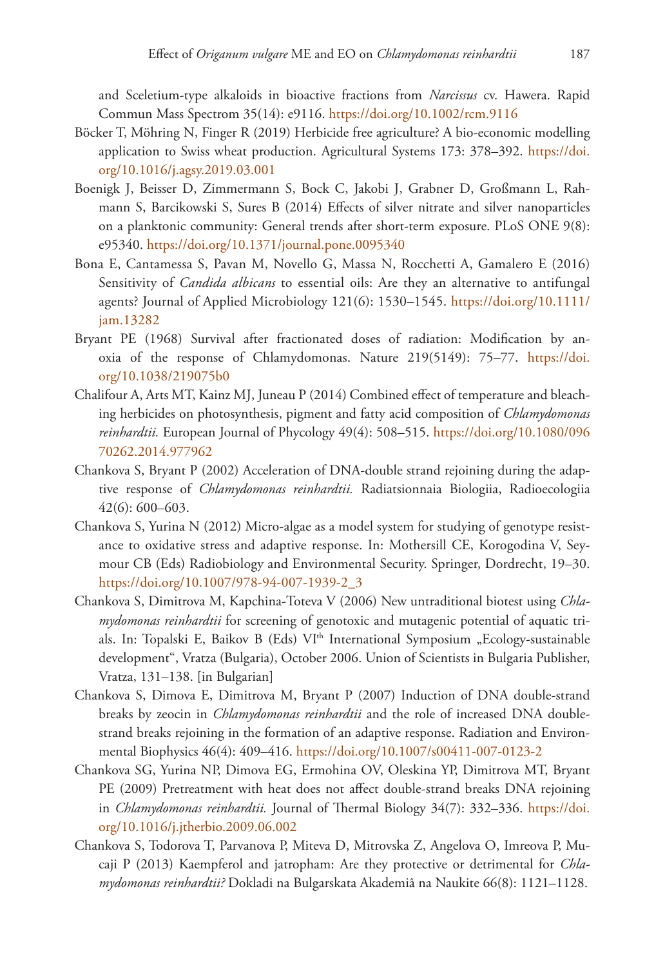and Sceletium-type alkaloids in bioactive fractions from *Narcissus* cv. Hawera. Rapid Commun Mass Spectrom 35(14): e9116.<https://doi.org/10.1002/rcm.9116>

- Böcker T, Möhring N, Finger R (2019) Herbicide free agriculture? A bio-economic modelling application to Swiss wheat production. Agricultural Systems 173: 378–392. [https://doi.](https://doi.org/10.1016/j.agsy.2019.03.001) [org/10.1016/j.agsy.2019.03.001](https://doi.org/10.1016/j.agsy.2019.03.001)
- Boenigk J, Beisser D, Zimmermann S, Bock C, Jakobi J, Grabner D, Großmann L, Rahmann S, Barcikowski S, Sures B (2014) Effects of silver nitrate and silver nanoparticles on a planktonic community: General trends after short-term exposure. PLoS ONE 9(8): e95340.<https://doi.org/10.1371/journal.pone.0095340>
- Bona E, Cantamessa S, Pavan M, Novello G, Massa N, Rocchetti A, Gamalero E (2016) Sensitivity of *Candida albicans* to essential oils: Are they an alternative to antifungal agents? Journal of Applied Microbiology 121(6): 1530–1545. [https://doi.org/10.1111/](https://doi.org/10.1111/jam.13282) [jam.13282](https://doi.org/10.1111/jam.13282)
- Bryant PE (1968) Survival after fractionated doses of radiation: Modification by anoxia of the response of Chlamydomonas. Nature 219(5149): 75–77. [https://doi.](https://doi.org/10.1038/219075b0) [org/10.1038/219075b0](https://doi.org/10.1038/219075b0)
- Chalifour A, Arts MT, Kainz MJ, Juneau P (2014) Combined effect of temperature and bleaching herbicides on photosynthesis, pigment and fatty acid composition of *Chlamydomonas reinhardtii.* European Journal of Phycology 49(4): 508–515. [https://doi.org/10.1080/096](https://doi.org/10.1080/09670262.2014.977962) [70262.2014.977962](https://doi.org/10.1080/09670262.2014.977962)
- Chankova S, Bryant P (2002) Acceleration of DNA-double strand rejoining during the adaptive response of *Chlamydomonas reinhardtii.* Radiatsionnaia Biologiia, Radioecologiia 42(6): 600–603.
- Chankova S, Yurina N (2012) Micro-algae as a model system for studying of genotype resistance to oxidative stress and adaptive response. In: Mothersill CE, Korogodina V, Seymour CB (Eds) Radiobiology and Environmental Security. Springer, Dordrecht, 19–30. [https://doi.org/10.1007/978-94-007-1939-2\\_3](https://doi.org/10.1007/978-94-007-1939-2_3)
- Chankova S, Dimitrova M, Kapchina-Toteva V (2006) New untraditional biotest using *Chlamydomonas reinhardtii* for screening of genotoxic and mutagenic potential of aquatic trials. In: Topalski E, Baikov B (Eds) VI<sup>th</sup> International Symposium "Ecology-sustainable development", Vratza (Bulgaria), October 2006. Union of Scientists in Bulgaria Publisher, Vratza, 131–138. [in Bulgarian]
- Chankova S, Dimova E, Dimitrova M, Bryant P (2007) Induction of DNA double-strand breaks by zeocin in *Chlamydomonas reinhardtii* and the role of increased DNA doublestrand breaks rejoining in the formation of an adaptive response. Radiation and Environmental Biophysics 46(4): 409–416.<https://doi.org/10.1007/s00411-007-0123-2>
- Chankova SG, Yurina NP, Dimova EG, Ermohina OV, Oleskina YP, Dimitrova MT, Bryant PE (2009) Pretreatment with heat does not affect double-strand breaks DNA rejoining in *Chlamydomonas reinhardtii.* Journal of Thermal Biology 34(7): 332–336. [https://doi.](https://doi.org/10.1016/j.jtherbio.2009.06.002) [org/10.1016/j.jtherbio.2009.06.002](https://doi.org/10.1016/j.jtherbio.2009.06.002)
- Chankova S, Todorova T, Parvanova P, Miteva D, Mitrovska Z, Angelova O, Imreova P, Mucaji P (2013) Kaempferol and jatropham: Are they protective or detrimental for *Chlamydomonas reinhardtii?* Dokladi na Bulgarskata Akademiâ na Naukite 66(8): 1121–1128.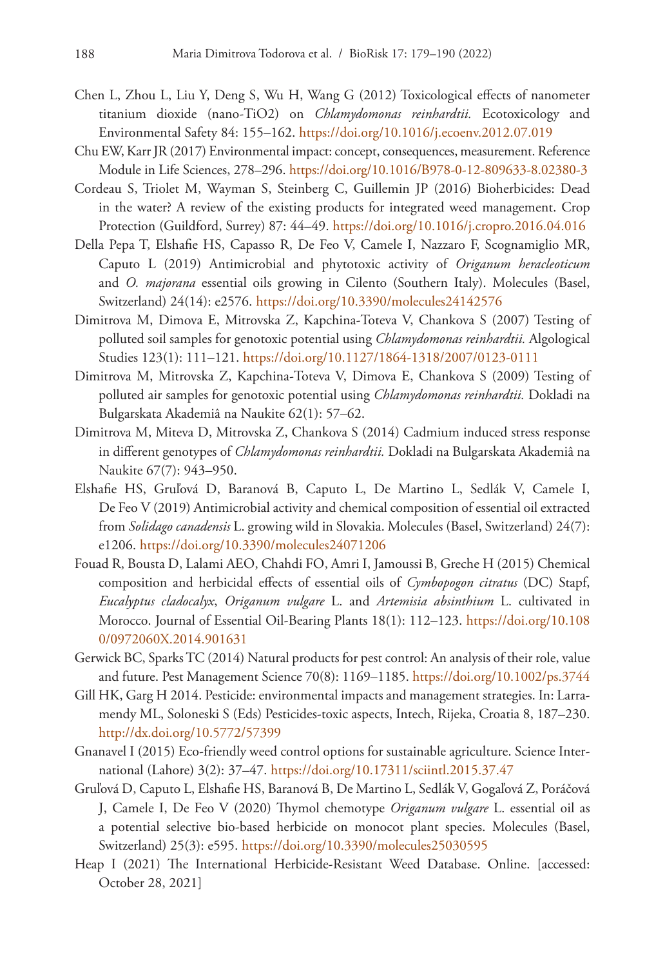- Chen L, Zhou L, Liu Y, Deng S, Wu H, Wang G (2012) Toxicological effects of nanometer titanium dioxide (nano-TiO2) on *Chlamydomonas reinhardtii.* Ecotoxicology and Environmental Safety 84: 155–162. <https://doi.org/10.1016/j.ecoenv.2012.07.019>
- Chu EW, Karr JR (2017) Environmental impact: concept, consequences, measurement. Reference Module in Life Sciences, 278–296. <https://doi.org/10.1016/B978-0-12-809633-8.02380-3>
- Cordeau S, Triolet M, Wayman S, Steinberg C, Guillemin JP (2016) Bioherbicides: Dead in the water? A review of the existing products for integrated weed management. Crop Protection (Guildford, Surrey) 87: 44–49.<https://doi.org/10.1016/j.cropro.2016.04.016>
- Della Pepa T, Elshafie HS, Capasso R, De Feo V, Camele I, Nazzaro F, Scognamiglio MR, Caputo L (2019) Antimicrobial and phytotoxic activity of *Origanum heracleoticum* and *O. majorana* essential oils growing in Cilento (Southern Italy). Molecules (Basel, Switzerland) 24(14): e2576.<https://doi.org/10.3390/molecules24142576>
- Dimitrova M, Dimova E, Mitrovska Z, Kapchina-Toteva V, Chankova S (2007) Testing of polluted soil samples for genotoxic potential using *Chlamydomonas reinhardtii.* Algological Studies 123(1): 111–121.<https://doi.org/10.1127/1864-1318/2007/0123-0111>
- Dimitrova M, Mitrovska Z, Kapchina-Toteva V, Dimova E, Chankova S (2009) Testing of polluted air samples for genotoxic potential using *Chlamydomonas reinhardtii.* Dokladi na Bulgarskata Akademiâ na Naukite 62(1): 57–62.
- Dimitrova M, Miteva D, Mitrovska Z, Chankova S (2014) Cadmium induced stress response in different genotypes of *Chlamydomonas reinhardtii.* Dokladi na Bulgarskata Akademiâ na Naukite 67(7): 943–950.
- Elshafie HS, Gruľová D, Baranová B, Caputo L, De Martino L, Sedlák V, Camele I, De Feo V (2019) Antimicrobial activity and chemical composition of essential oil extracted from *Solidago canadensis* L. growing wild in Slovakia. Molecules (Basel, Switzerland) 24(7): e1206.<https://doi.org/10.3390/molecules24071206>
- Fouad R, Bousta D, Lalami AEO, Chahdi FO, Amri I, Jamoussi B, Greche H (2015) Chemical composition and herbicidal effects of essential oils of *Cymbopogon citratus* (DC) Stapf, *Eucalyptus cladocalyx*, *Origanum vulgare* L. and *Artemisia absinthium* L. cultivated in Morocco. Journal of Essential Oil-Bearing Plants 18(1): 112–123. [https://doi.org/10.108](https://doi.org/10.1080/0972060X.2014.901631) [0/0972060X.2014.901631](https://doi.org/10.1080/0972060X.2014.901631)
- Gerwick BC, Sparks TC (2014) Natural products for pest control: An analysis of their role, value and future. Pest Management Science 70(8): 1169–1185.<https://doi.org/10.1002/ps.3744>
- Gill HK, Garg H 2014. Pesticide: environmental impacts and management strategies. In: Larramendy ML, Soloneski S (Eds) Pesticides-toxic aspects, Intech, Rijeka, Croatia 8, 187–230. <http://dx.doi.org/10.5772/57399>
- Gnanavel I (2015) Eco-friendly weed control options for sustainable agriculture. Science International (Lahore) 3(2): 37–47. <https://doi.org/10.17311/sciintl.2015.37.47>
- Gruľová D, Caputo L, Elshafie HS, Baranová B, De Martino L, Sedlák V, Gogaľová Z, Poráčová J, Camele I, De Feo V (2020) Thymol chemotype *Origanum vulgare* L. essential oil as a potential selective bio-based herbicide on monocot plant species. Molecules (Basel, Switzerland) 25(3): e595.<https://doi.org/10.3390/molecules25030595>
- Heap I (2021) The International Herbicide-Resistant Weed Database. Online. [accessed: October 28, 2021]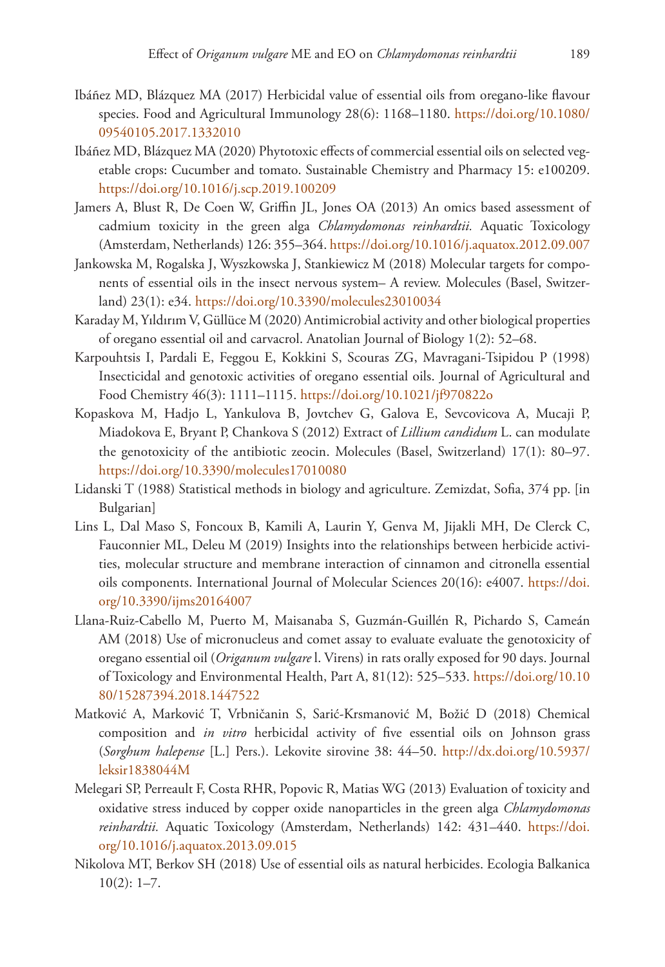- Ibáñez MD, Blázquez MA (2017) Herbicidal value of essential oils from oregano-like flavour species. Food and Agricultural Immunology 28(6): 1168–1180. [https://doi.org/10.1080/](https://doi.org/10.1080/09540105.2017.1332010) [09540105.2017.1332010](https://doi.org/10.1080/09540105.2017.1332010)
- Ibáñez MD, Blázquez MA (2020) Phytotoxic effects of commercial essential oils on selected vegetable crops: Cucumber and tomato. Sustainable Chemistry and Pharmacy 15: e100209. <https://doi.org/10.1016/j.scp.2019.100209>
- Jamers A, Blust R, De Coen W, Griffin JL, Jones OA (2013) An omics based assessment of cadmium toxicity in the green alga *Chlamydomonas reinhardtii.* Aquatic Toxicology (Amsterdam, Netherlands) 126: 355–364.<https://doi.org/10.1016/j.aquatox.2012.09.007>
- Jankowska M, Rogalska J, Wyszkowska J, Stankiewicz M (2018) Molecular targets for components of essential oils in the insect nervous system– A review. Molecules (Basel, Switzerland) 23(1): e34.<https://doi.org/10.3390/molecules23010034>
- Karaday M, Yıldırım V, Güllüce M (2020) Antimicrobial activity and other biological properties of oregano essential oil and carvacrol. Anatolian Journal of Biology 1(2): 52–68.
- Karpouhtsis I, Pardali E, Feggou E, Kokkini S, Scouras ZG, Mavragani-Tsipidou P (1998) Insecticidal and genotoxic activities of oregano essential oils. Journal of Agricultural and Food Chemistry 46(3): 1111–1115.<https://doi.org/10.1021/jf970822o>
- Kopaskova M, Hadjo L, Yankulova B, Jovtchev G, Galova E, Sevcovicova A, Mucaji P, Miadokova E, Bryant P, Chankova S (2012) Extract of *Lillium candidum* L. can modulate the genotoxicity of the antibiotic zeocin. Molecules (Basel, Switzerland) 17(1): 80–97. <https://doi.org/10.3390/molecules17010080>
- Lidanski T (1988) Statistical methods in biology and agriculture. Zemizdat, Sofia, 374 pp. [in Bulgarian]
- Lins L, Dal Maso S, Foncoux B, Kamili A, Laurin Y, Genva M, Jijakli MH, De Clerck C, Fauconnier ML, Deleu M (2019) Insights into the relationships between herbicide activities, molecular structure and membrane interaction of cinnamon and citronella essential oils components. International Journal of Molecular Sciences 20(16): e4007. [https://doi.](https://doi.org/10.3390/ijms20164007) [org/10.3390/ijms20164007](https://doi.org/10.3390/ijms20164007)
- Llana-Ruiz-Cabello M, Puerto M, Maisanaba S, Guzmán-Guillén R, Pichardo S, Cameán AM (2018) Use of micronucleus and comet assay to evaluate evaluate the genotoxicity of oregano essential oil (*Origanum vulgare* l. Virens) in rats orally exposed for 90 days. Journal of Toxicology and Environmental Health, Part A, 81(12): 525–533. [https://doi.org/10.10](https://doi.org/10.1080/15287394.2018.1447522) [80/15287394.2018.1447522](https://doi.org/10.1080/15287394.2018.1447522)
- Matković A, Marković T, Vrbničanin S, Sarić-Krsmanović M, Božić D (2018) Chemical composition and *in vitro* herbicidal activity of five essential oils on Johnson grass (*Sorghum halepense* [L.] Pers.). Lekovite sirovine 38: 44–50. [http://dx.doi.org/10.5937/](http://dx.doi.org/10.5937/leksir1838044M) [leksir1838044M](http://dx.doi.org/10.5937/leksir1838044M)
- Melegari SP, Perreault F, Costa RHR, Popovic R, Matias WG (2013) Evaluation of toxicity and oxidative stress induced by copper oxide nanoparticles in the green alga *Chlamydomonas reinhardtii.* Aquatic Toxicology (Amsterdam, Netherlands) 142: 431–440. [https://doi.](https://doi.org/10.1016/j.aquatox.2013.09.015) [org/10.1016/j.aquatox.2013.09.015](https://doi.org/10.1016/j.aquatox.2013.09.015)
- Nikolova MT, Berkov SH (2018) Use of essential oils as natural herbicides. Ecologia Balkanica  $10(2): 1-7.$